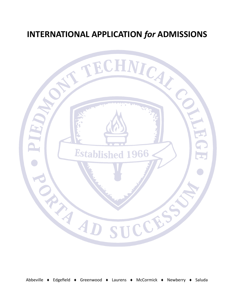# **INTERNATIONAL APPLICATION** *for* **ADMISSIONS**

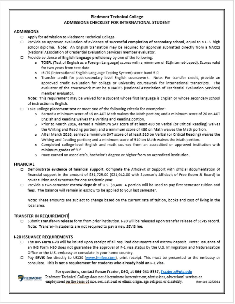### **Piedmont Technical College** ADMISSIONS CHECKLIST FOR INTERNATIONAL STUDENT

#### **ADMISSIONS**

- $\Box$  Apply for admission to Piedmont Technical College.
- □ Provide an approved evaluation of evidence of successful completion of secondary school, equal to a U.S. high school diploma. Note: An English translation may be required for approval submitted directly from a NACES (National Association of Credential Evaluation Services) member evaluator.
- $\Box$  Provide evidence of English language proficiency by one of the following:
	- o TOEFL (Test of English as a Foreign Language) scores with a minimum of 61 (Internet-based). Scores valid for two years from test date.
	- o IELTS (international English Language Testing System) score band 5.0
	- o Transfer credit for post-secondary level English coursework. Note: For transfer credit, provide an approved credit evaluation for college or university coursework for international transcripts. The evaluator of the coursework must be a NACES (National Association of Credential Evaluation Services) member evaluator.

Note: This requirement may be waived for a student whose first language is English or whose secondary school of instruction is English.

- $\square$  Take College placement test or meet one of the following criteria for exemption:
	- o Earned a minimum score of 19 on ACT Math waives the Math portion; and a minimum score of 20 on ACT English and Reading waives the Writing and Reading portion.
	- o Prior to March 2016, earned a minimum SAT score of at least 480 on Verbal (or Critical Reading) waives the Writing and Reading portion; and a minimum score of 480 on Math waives the Math portion.
	- o After March 2016, earned a minimum SAT score of at least 510 on Verbal (or Critical Reading) waives the Writing and Reading portion; and a minimum score of 510 on Math waives the Math portion.
	- o Completed college-level English and math courses from an accredited or approved institution with minimum grades of "C".
	- o Have earned an associate's, bachelor's degree or higher from an accredited institution.

#### **FINANCIAL**

- □ Demonstrate evidence of financial support. Complete the Affidavit of Support with official documentation of financial support in the amount of \$31,725.00 (\$21,942.00 with Sponsor's Affidavit of Free Room & Board) to cover tuition and expenses for one academic year.
- □ Provide a two-semester escrow deposit of U.S. \$8,486. A portion will be used to pay first semester tuition and fees. The balance will remain in escrow to be applied to your last semester.

Note: These amounts are subject to change based on the current rate of tuition, books and cost of living in the local area.

#### **TRANSFER IN REQUIREMENT**

□ Submit Transfer-In release form from prior institution. I-20 will be released upon transfer release of SEVIS record. Note: Transfer-In students are not required to pay a new SEVIS fee.

#### **I-20 ISSUANCE REQUIREMENTS**

- □ The INS Form I-20 will be issued upon receipt of all required documents and escrow deposit. Note: Issuance of an INS Form I-20 does not guarantee the approval of F-1 visa status by the U.S. Immigration and Naturalization Office or the U.S. embassy or consulate in your home country.
- □ Pay SEVIS fee directly to USCIS (www.fmjfee.com), print receipt. This must be presented to the embassy or consulate. This is not a requirement for students who already hold an F-1 visa.

#### For questions, contact Renae Frazier, DSO, at 864-941-8357, Frazier.r@ptc.edu

**PIEDMONT** 

Piedmont Technical College does not discriminate in recruitment admissions, educational services or employment on the basis of race, sex, national or ethnic origin, age, religion or disability. Revised 12/2021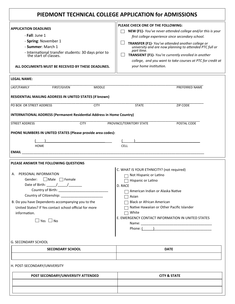## **PIEDMONT TECHNICAL COLLEGE APPLICATION for ADMISSIONS**

|                                                                                       | PLEASE CHECK ONE OF THE FOLLOWING:                                 |  |  |  |
|---------------------------------------------------------------------------------------|--------------------------------------------------------------------|--|--|--|
| <b>APPLICATION DEADLINES</b>                                                          | NEW (F1)- You've never attended college and/or this is your        |  |  |  |
| - Fall: June 1                                                                        | first college experience since secondary school.                   |  |  |  |
| - Spring: November 1                                                                  | TRANSFER (F1)- You've attended another college or                  |  |  |  |
| - Summer: March 1                                                                     | university and are now planning to attended PTC full or            |  |  |  |
| - International transfer students: 30 days prior to<br>the start of classes.          | part time.<br>TRANSIENT (F1)- You're currently enrolled in another |  |  |  |
|                                                                                       | college, and you want to take courses at PTC for credit at         |  |  |  |
| ALL DOCUMENTS MUST BE RECEIVED BY THESE DEADLINES.                                    | your home institution.                                             |  |  |  |
| <b>LEGAL NAME:</b>                                                                    |                                                                    |  |  |  |
| <b>FIRST/GIVEN</b><br>LAST/FAMILY<br><b>MIDDLE</b>                                    | PREFERRED NAME                                                     |  |  |  |
| RESIDENTIAL MAILING ADDRESS IN UNITED STATES (if known)                               |                                                                    |  |  |  |
| PO BOX OR STREET ADDRESS<br><b>CITY</b>                                               | <b>STATE</b><br>ZIP CODE                                           |  |  |  |
| <b>INTERNATIONAL ADDRESS (Permanent Residential Address in Home Country)</b>          |                                                                    |  |  |  |
| <b>STREET ADDRESS</b><br><b>CITY</b>                                                  | PROVINCE/TERRITORY STATE<br>POSTAL CODE                            |  |  |  |
| PHONE NUMBERS IN UNITED STATES (Please provide area codes):                           |                                                                    |  |  |  |
|                                                                                       |                                                                    |  |  |  |
| <b>HOME</b>                                                                           | <b>CELL</b>                                                        |  |  |  |
| <b>EMAIL</b>                                                                          |                                                                    |  |  |  |
|                                                                                       |                                                                    |  |  |  |
| PLEASE ANSWER THE FOLLOWING QUESTIONS                                                 |                                                                    |  |  |  |
|                                                                                       | C. WHAT IS YOUR ETHNICITY? (not required)                          |  |  |  |
| A. PERSONAL INFORMATION                                                               | Not Hispanic or Latino                                             |  |  |  |
| $\Box$ Male<br>Gender:<br>  Female<br>Hispanic or Latino                              |                                                                    |  |  |  |
| Date of Birth: $/$ /                                                                  | D. RACE                                                            |  |  |  |
| Country of Birth:<br>American Indian or Alaska Native                                 |                                                                    |  |  |  |
| Country of Citizenship: ________________________                                      | Asian                                                              |  |  |  |
| B. Do you have Dependents accompanying you to the<br><b>Black or African American</b> |                                                                    |  |  |  |
| United States? If Yes contact school official for more                                | Native Hawaiian or Other Pacific Islander                          |  |  |  |
| information.                                                                          | White                                                              |  |  |  |
| $\Box$ Yes $\Box$ No                                                                  | E. EMERGENCY CONTACT INFORMATION IN UNITED STATES                  |  |  |  |
|                                                                                       |                                                                    |  |  |  |
|                                                                                       |                                                                    |  |  |  |
|                                                                                       |                                                                    |  |  |  |
|                                                                                       |                                                                    |  |  |  |

#### G. SECONDARY SCHOOL

| <b>SECONDARY SCHOOL</b> | <b>DATE</b> |
|-------------------------|-------------|
|                         |             |

#### H. POST-SECONDARY/UNIVERSITY

| POST SECONDARY/UNIVERSITY ATTENDED | <b>CITY &amp; STATE</b> |
|------------------------------------|-------------------------|
|                                    |                         |
|                                    |                         |